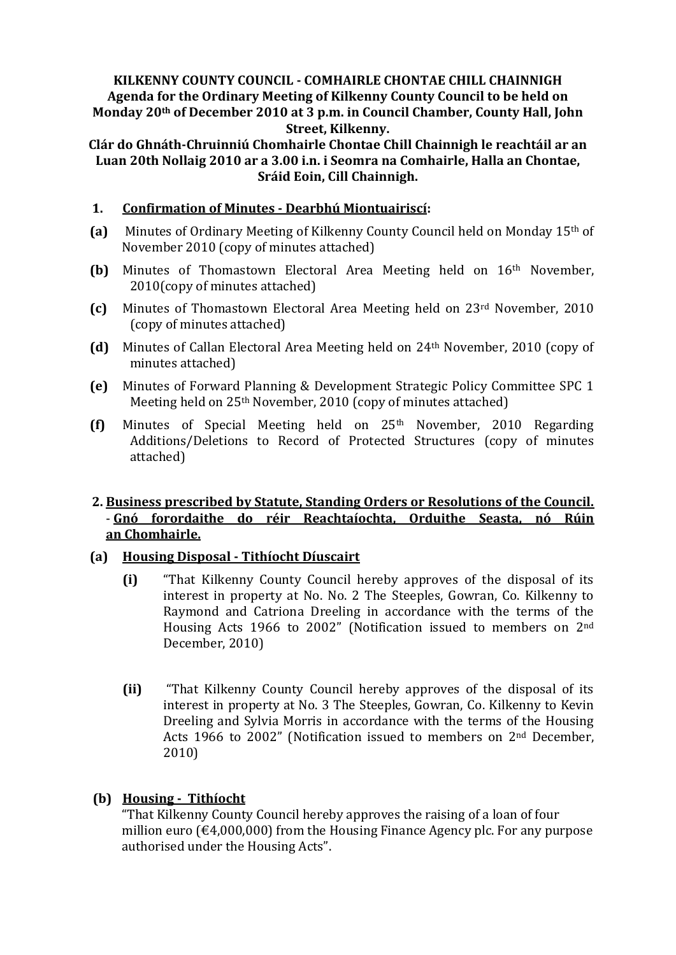## **KILKENNY COUNTY COUNCIL - COMHAIRLE CHONTAE CHILL CHAINNIGH Agenda for the Ordinary Meeting of Kilkenny County Council to be held on Monday 20th of December 2010 at 3 p.m. in Council Chamber, County Hall, John Street, Kilkenny.**

**Clár do Ghnáth-Chruinniú Chomhairle Chontae Chill Chainnigh le reachtáil ar an Luan 20th Nollaig 2010 ar a 3.00 i.n. i Seomra na Comhairle, Halla an Chontae, Sráid Eoin, Cill Chainnigh.**

### **1. Confirmation of Minutes - Dearbhú Miontuairiscí:**

- **(a)** Minutes of Ordinary Meeting of Kilkenny County Council held on Monday 15th of November 2010 (copy of minutes attached)
- **(b)** Minutes of Thomastown Electoral Area Meeting held on 16th November, 2010(copy of minutes attached)
- **(c)** Minutes of Thomastown Electoral Area Meeting held on 23rd November, 2010 (copy of minutes attached)
- **(d)** Minutes of Callan Electoral Area Meeting held on 24th November, 2010 (copy of minutes attached)
- **(e)** Minutes of Forward Planning & Development Strategic Policy Committee SPC 1 Meeting held on 25th November, 2010 (copy of minutes attached)
- **(f)** Minutes of Special Meeting held on 25th November, 2010 Regarding Additions/Deletions to Record of Protected Structures (copy of minutes attached)

### **2. Business prescribed by Statute, Standing Orders or Resolutions of the Council.** - **Gnó forordaithe do réir Reachtaíochta, Orduithe Seasta, nó Rúin an Chomhairle.**

#### **(a) Housing Disposal - Tithíocht Díuscairt**

- **(i)** "That Kilkenny County Council hereby approves of the disposal of its interest in property at No. No. 2 The Steeples, Gowran, Co. Kilkenny to Raymond and Catriona Dreeling in accordance with the terms of the Housing Acts 1966 to 2002" (Notification issued to members on 2nd December, 2010)
- **(ii)** "That Kilkenny County Council hereby approves of the disposal of its interest in property at No. 3 The Steeples, Gowran, Co. Kilkenny to Kevin Dreeling and Sylvia Morris in accordance with the terms of the Housing Acts 1966 to 2002" (Notification issued to members on 2nd December, 2010)

# **(b) Housing - Tithíocht**

"That Kilkenny County Council hereby approves the raising of a loan of four million euro (€4,000,000) from the Housing Finance Agency plc. For any purpose authorised under the Housing Acts".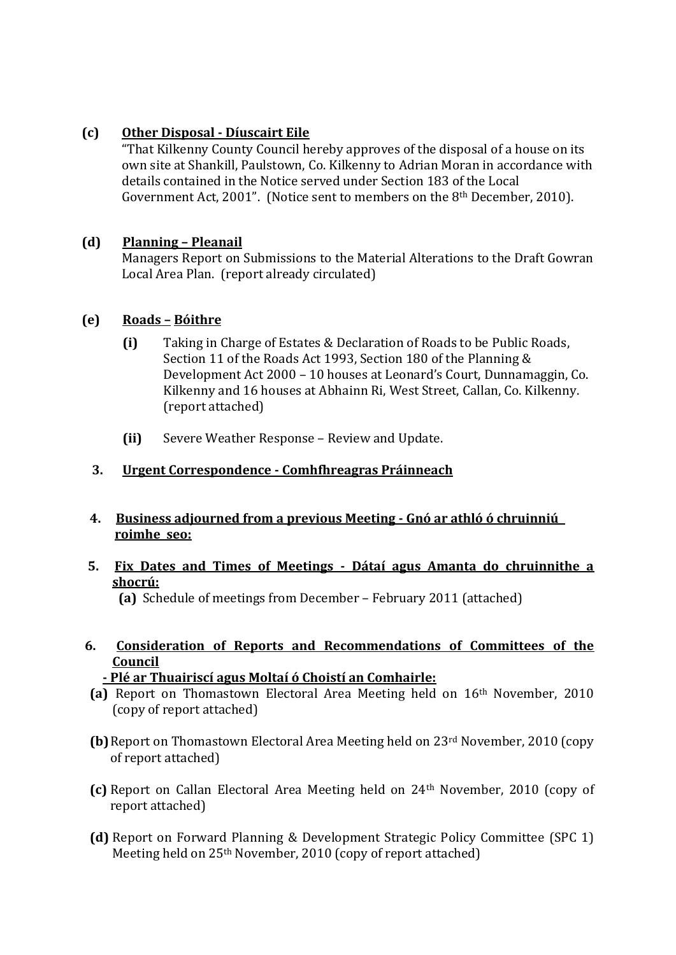# **(c) Other Disposal - Díuscairt Eile**

"That Kilkenny County Council hereby approves of the disposal of a house on its own site at Shankill, Paulstown, Co. Kilkenny to Adrian Moran in accordance with details contained in the Notice served under Section 183 of the Local Government Act, 2001". (Notice sent to members on the 8th December, 2010).

### **(d) Planning – Pleanail**

Managers Report on Submissions to the Material Alterations to the Draft Gowran Local Area Plan. (report already circulated)

#### **(e) Roads – Bóithre**

- **(i)** Taking in Charge of Estates & Declaration of Roads to be Public Roads, Section 11 of the Roads Act 1993, Section 180 of the Planning & Development Act 2000 – 10 houses at Leonard's Court, Dunnamaggin, Co. Kilkenny and 16 houses at Abhainn Ri, West Street, Callan, Co. Kilkenny. (report attached)
- **(ii)** Severe Weather Response Review and Update.

## **3. Urgent Correspondence - Comhfhreagras Práinneach**

- **4. Business adjourned from a previous Meeting - Gnó ar athló ó chruinniú roimhe seo:**
- **5. Fix Dates and Times of Meetings - Dátaí agus Amanta do chruinnithe a shocrú:**

 **(a)** Schedule of meetings from December – February 2011 (attached)

- **6. Consideration of Reports and Recommendations of Committees of the Council**
	- **- Plé ar Thuairiscí agus Moltaí ó Choistí an Comhairle:**
- **(a)** Report on Thomastown Electoral Area Meeting held on 16th November, 2010 (copy of report attached)
- **(b)**Report on Thomastown Electoral Area Meeting held on 23rd November, 2010 (copy of report attached)
- **(c)** Report on Callan Electoral Area Meeting held on 24th November, 2010 (copy of report attached)
- **(d)** Report on Forward Planning & Development Strategic Policy Committee (SPC 1) Meeting held on 25th November, 2010 (copy of report attached)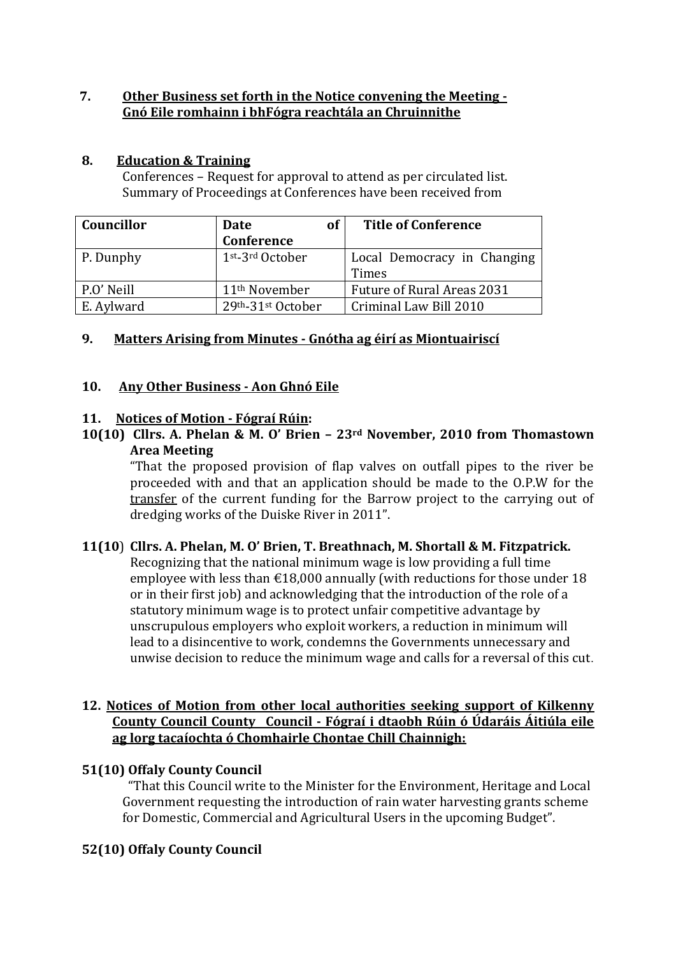## **7. Other Business set forth in the Notice convening the Meeting - Gnó Eile romhainn i bhFógra reachtála an Chruinnithe**

### **8. Education & Training**

Conferences – Request for approval to attend as per circulated list. Summary of Proceedings at Conferences have been received from

| Councillor | <b>of</b><br>Date           | <b>Title of Conference</b>        |
|------------|-----------------------------|-----------------------------------|
|            | Conference                  |                                   |
| P. Dunphy  | 1st <sub>-3rd</sub> October | Local Democracy in Changing       |
|            |                             | Times                             |
| P.O' Neill | 11 <sup>th</sup> November   | <b>Future of Rural Areas 2031</b> |
| E. Aylward | 29th-31st October           | Criminal Law Bill 2010            |

### **9. Matters Arising from Minutes - Gnótha ag éirí as Miontuairiscí**

#### **10. Any Other Business - Aon Ghnó Eile**

### **11. Notices of Motion - Fógraí Rúin:**

**10(10) Cllrs. A. Phelan & M. O' Brien – 23rd November, 2010 from Thomastown Area Meeting**

"That the proposed provision of flap valves on outfall pipes to the river be proceeded with and that an application should be made to the O.P.W for the transfer of the current funding for the Barrow project to the carrying out of dredging works of the Duiske River in 2011".

# **11(10**) **Cllrs. A. Phelan, M. O' Brien, T. Breathnach, M. Shortall & M. Fitzpatrick.**

Recognizing that the national minimum wage is low providing a full time employee with less than  $\epsilon$ 18,000 annually (with reductions for those under 18 or in their first job) and acknowledging that the introduction of the role of a statutory minimum wage is to protect unfair competitive advantage by unscrupulous employers who exploit workers, a reduction in minimum will lead to a disincentive to work, condemns the Governments unnecessary and unwise decision to reduce the minimum wage and calls for a reversal of this cut.

#### **12. Notices of Motion from other local authorities seeking support of Kilkenny County Council County Council - Fógraí i dtaobh Rúin ó Údaráis Áitiúla eile ag lorg tacaíochta ó Chomhairle Chontae Chill Chainnigh:**

#### **51(10) Offaly County Council**

"That this Council write to the Minister for the Environment, Heritage and Local Government requesting the introduction of rain water harvesting grants scheme for Domestic, Commercial and Agricultural Users in the upcoming Budget".

# **52(10) Offaly County Council**